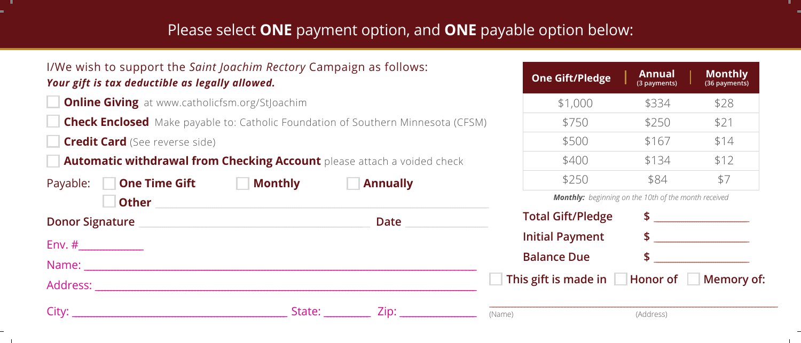## Please select **ONE** payment option, and **ONE** payable option below:

| I/We wish to support the <i>Saint Joachim Rectory</i> Campaign as follows:<br>Your gift is tax deductible as legally allowed.                                                                                                  |                                                                                                                                                                                                                                     | <b>One Gift/Pledge</b>                                      | Annual<br>(3 payments) | <b>Monthly</b><br>(36 payments) |
|--------------------------------------------------------------------------------------------------------------------------------------------------------------------------------------------------------------------------------|-------------------------------------------------------------------------------------------------------------------------------------------------------------------------------------------------------------------------------------|-------------------------------------------------------------|------------------------|---------------------------------|
| <b>Online Giving</b> at www.catholicfsm.org/StJoachim                                                                                                                                                                          |                                                                                                                                                                                                                                     | \$1,000                                                     | \$334                  | \$28                            |
| <b>Check Enclosed</b> Make payable to: Catholic Foundation of Southern Minnesota (CFSM)                                                                                                                                        |                                                                                                                                                                                                                                     | \$750                                                       | \$250                  | \$21                            |
| <b>Credit Card</b> (See reverse side)                                                                                                                                                                                          |                                                                                                                                                                                                                                     | \$500                                                       | \$167                  | \$14                            |
| <b>Automatic withdrawal from Checking Account</b> please attach a voided check                                                                                                                                                 |                                                                                                                                                                                                                                     | \$400                                                       | \$134                  | \$12                            |
| Payable: <b>One Time Gift Monthly</b>                                                                                                                                                                                          | <b>Annually</b>                                                                                                                                                                                                                     | \$250                                                       | \$84                   | \$7                             |
| <b>Other</b>                                                                                                                                                                                                                   |                                                                                                                                                                                                                                     | <b>Monthly:</b> beginning on the 10th of the month received |                        |                                 |
| Donor Signature and the contract of the contract of the contract of the contract of the contract of the contract of the contract of the contract of the contract of the contract of the contract of the contract of the contra | <b>Date</b> the control of the control of the control of the control of the control of the control of the control of the control of the control of the control of the control of the control of the control of the control of the c | <b>Total Gift/Pledge</b>                                    |                        |                                 |
|                                                                                                                                                                                                                                |                                                                                                                                                                                                                                     | <b>Initial Payment</b>                                      |                        | $\frac{1}{2}$                   |
|                                                                                                                                                                                                                                |                                                                                                                                                                                                                                     | <b>Balance Due</b>                                          |                        |                                 |
| Address: Andreas Address Andreas Andreas Andreas Andreas Andreas Andreas Andreas Andreas Andreas Andreas Andreas Andreas Andreas Andreas Andreas Andreas Andreas Andreas Andreas Andreas Andreas Andreas Andreas Andreas Andre |                                                                                                                                                                                                                                     | This gift is made in Honor of Memory of:                    |                        |                                 |
| City: the contract of the contract of the contract of the contract of the contract of the contract of the contract of the contract of the contract of the contract of the contract of the contract of the contract of the cont | State: Zip: Zip:                                                                                                                                                                                                                    | (Name)                                                      | (Address)              |                                 |

 $\sim$  11